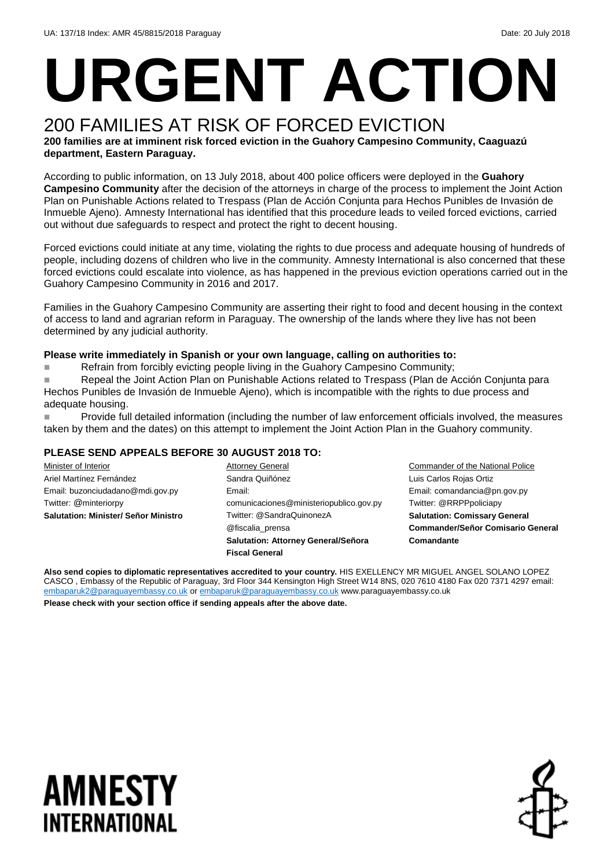# **URGENT ACTION**

# 200 FAMILIES AT RISK OF FORCED EVICTION

**200 families are at imminent risk forced eviction in the Guahory Campesino Community, Caaguazú department, Eastern Paraguay.** 

According to public information, on 13 July 2018, about 400 police officers were deployed in the **Guahory Campesino Community** after the decision of the attorneys in charge of the process to implement the Joint Action Plan on Punishable Actions related to Trespass (Plan de Acción Conjunta para Hechos Punibles de Invasión de Inmueble Ajeno). Amnesty International has identified that this procedure leads to veiled forced evictions, carried out without due safeguards to respect and protect the right to decent housing.

Forced evictions could initiate at any time, violating the rights to due process and adequate housing of hundreds of people, including dozens of children who live in the community. Amnesty International is also concerned that these forced evictions could escalate into violence, as has happened in the previous eviction operations carried out in the Guahory Campesino Community in 2016 and 2017.

Families in the Guahory Campesino Community are asserting their right to food and decent housing in the context of access to land and agrarian reform in Paraguay. The ownership of the lands where they live has not been determined by any judicial authority.

#### **Please write immediately in Spanish or your own language, calling on authorities to:**

Refrain from forcibly evicting people living in the Guahory Campesino Community;

■ Repeal the Joint Action Plan on Punishable Actions related to Trespass (Plan de Acción Conjunta para Hechos Punibles de Invasión de Inmueble Ajeno), which is incompatible with the rights to due process and adequate housing.

◼ Provide full detailed information (including the number of law enforcement officials involved, the measures taken by them and the dates) on this attempt to implement the Joint Action Plan in the Guahory community.

#### **PLEASE SEND APPEALS BEFORE 30 AUGUST 2018 TO:**

Minister of Interior Ariel Martínez Fernández Email: buzonciudadano@mdi.gov.py Twitter: @minteriorpy **Salutation: Minister/ Señor Ministro** Attorney General Sandra Quiñónez Email: comunicaciones@ministeriopublico.gov.py Twitter: @SandraQuinonezA @fiscalia\_prensa **Salutation: Attorney General/Señora Fiscal General**

Commander of the National Police Luis Carlos Rojas Ortiz Email: comandancia@pn.gov.py Twitter: @RRPPpoliciapy **Salutation: Comissary General Commander/Señor Comisario General Comandante**

**Also send copies to diplomatic representatives accredited to your country.** HIS EXELLENCY MR MIGUEL ANGEL SOLANO LOPEZ CASCO , Embassy of the Republic of Paraguay, 3rd Floor 344 Kensington High Street W14 8NS, 020 7610 4180 Fax 020 7371 4297 email: [embaparuk2@paraguayembassy.co.uk](mailto:embaparuk2@paraguayembassy.co.uk) o[r embaparuk@paraguayembassy.co.uk](mailto:embaparuk@paraguayembassy.co.uk) www.paraguayembassy.co.uk

**Please check with your section office if sending appeals after the above date.**